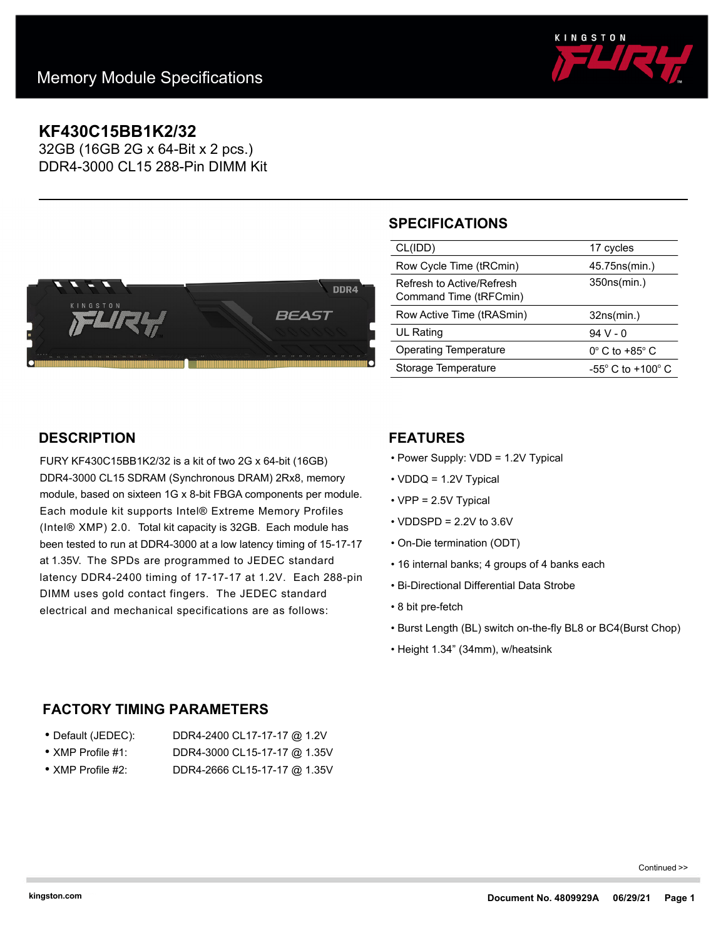

# **KF430C15BB1K2/32**

32GB (16GB 2G x 64-Bit x 2 pcs.) DDR4-3000 CL15 288-Pin DIMM Kit



# **SPECIFICATIONS**

| CL(IDD)                                             | 17 cycles                           |
|-----------------------------------------------------|-------------------------------------|
| Row Cycle Time (tRCmin)                             | 45.75ns(min.)                       |
| Refresh to Active/Refresh<br>Command Time (tRFCmin) | 350ns(min.)                         |
|                                                     |                                     |
| Row Active Time (tRASmin)                           | 32ns(min.)                          |
| <b>UL Rating</b>                                    | $94V - 0$                           |
| Operating Temperature                               | $0^\circ$ C to +85 $^\circ$ C       |
| Storage Temperature                                 | $-55^{\circ}$ C to $+100^{\circ}$ C |

## **DESCRIPTION**

FURY KF430C15BB1K2/32 is a kit of two 2G x 64-bit (16GB) DDR4-3000 CL15 SDRAM (Synchronous DRAM) 2Rx8, memory module, based on sixteen 1G x 8-bit FBGA components per module. Each module kit supports Intel® Extreme Memory Profiles (Intel® XMP) 2.0. Total kit capacity is 32GB. Each module has been tested to run at DDR4-3000 at a low latency timing of 15-17-17 at 1.35V. The SPDs are programmed to JEDEC standard latency DDR4-2400 timing of 17-17-17 at 1.2V. Each 288-pin DIMM uses gold contact fingers. The JEDEC standard electrical and mechanical specifications are as follows:

## **FEATURES**

- Power Supply: VDD = 1.2V Typical
- VDDQ = 1.2V Typical
- VPP = 2.5V Typical
- $\cdot$  VDDSPD = 2.2V to 3.6V
- On-Die termination (ODT)
- 16 internal banks; 4 groups of 4 banks each
- Bi-Directional Differential Data Strobe
- 8 bit pre-fetch
- Burst Length (BL) switch on-the-fly BL8 or BC4(Burst Chop)
- Height 1.34" (34mm), w/heatsink

### **FACTORY TIMING PARAMETERS**

| ● Default (JEDEC):        | DDR4-2400 CL17-17-17 @ 1.2V  |
|---------------------------|------------------------------|
| $\bullet$ XMP Profile #1: | DDR4-3000 CL15-17-17 @ 1.35V |

• XMP Profile #2: DDR4-2666 CL15-17-17 @ 1.35V

Continued >>